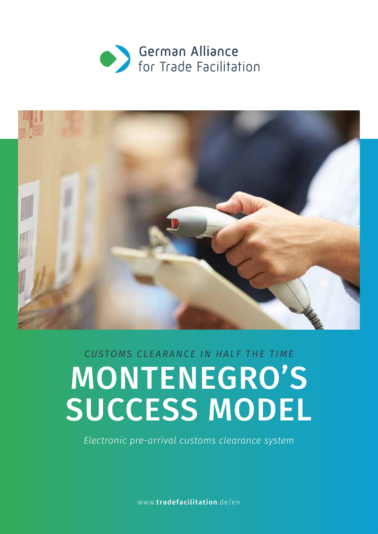



# *CUSTOMS CLEARANCE IN HALF THE TIME* MONTENEGRO'S SUCCESS MODEL

*Electronic pre-arrival customs clearance system*

www.[tradefacilitation](http://www.tradefacilitation.de/en).de/en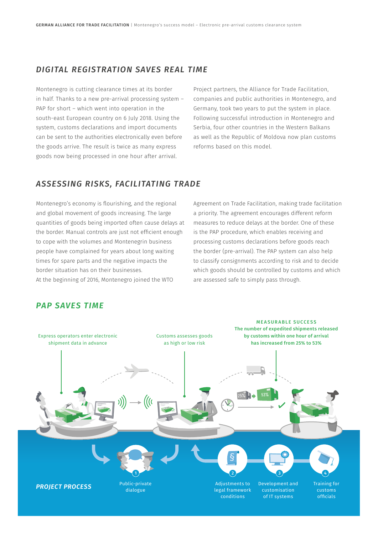## *DIGITAL REGISTRATION SAVES REAL TIME*

Montenegro is cutting clearance times at its border in half. Thanks to a new pre-arrival processing system – PAP for short – which went into operation in the south-east European country on 6 July 2018. Using the system, customs declarations and import documents can be sent to the authorities electronically even before the goods arrive. The result is twice as many express goods now being processed in one hour after arrival.

Project partners, the Alliance for Trade Facilitation, companies and public authorities in Montenegro, and Germany, took two years to put the system in place. Following successful introduction in Montenegro and Serbia, four other countries in the Western Balkans as well as the Republic of Moldova now plan customs reforms based on this model.

## *ASSESSING RISKS, FACILITATING TRADE*

Montenegro's economy is flourishing, and the regional and global movement of goods increasing. The large quantities of goods being imported often cause delays at the border. Manual controls are just not efficient enough to cope with the volumes and Montenegrin business people have complained for years about long waiting times for spare parts and the negative impacts the border situation has on their businesses. At the beginning of 2016, Montenegro joined the WTO

Agreement on Trade Facilitation, making trade facilitation a priority. The agreement encourages different reform measures to reduce delays at the border. One of these is the PAP procedure, which enables receiving and processing customs declarations before goods reach the border (pre-arrival). The PAP system can also help to classify consignments according to risk and to decide which goods should be controlled by customs and which are assessed safe to simply pass through.

# *PAP SAVES TIME*

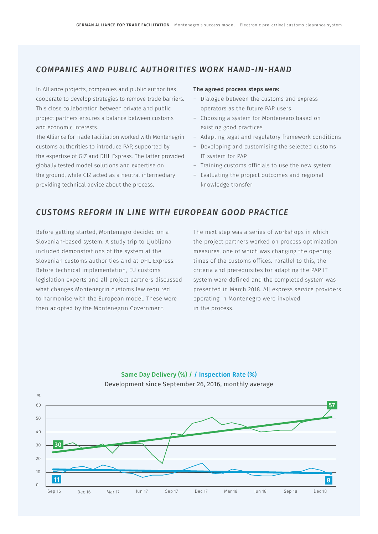# *COMPANIES AND PUBLIC AUTHORITIES WORK HAND-IN-HAND*

In Alliance projects, companies and public authorities cooperate to develop strategies to remove trade barriers. This close collaboration between private and public project partners ensures a balance between customs and economic interests.

The Alliance for Trade Facilitation worked with Montenegrin customs authorities to introduce PAP, supported by the expertise of GIZ and DHL Express. The latter provided globally tested model solutions and expertise on the ground, while GIZ acted as a neutral intermediary providing technical advice about the process.

## The agreed process steps were:

- Dialogue between the customs and express operators as the future PAP users
- Choosing a system for Montenegro based on existing good practices
- Adapting legal and regulatory framework conditions
- Developing and customising the selected customs IT system for PAP
- Training customs officials to use the new system
- Evaluating the project outcomes and regional knowledge transfer

# *CUSTOMS REFORM IN LINE WITH EUROPEAN GOOD PRACTICE*

Before getting started, Montenegro decided on a Slovenian-based system. A study trip to Ljubljana included demonstrations of the system at the Slovenian customs authorities and at DHL Express. Before technical implementation, EU customs legislation experts and all project partners discussed what changes Montenegrin customs law required to harmonise with the European model. These were then adopted by the Montenegrin Government.

The next step was a series of workshops in which the project partners worked on process optimization measures, one of which was changing the opening times of the customs offices. Parallel to this, the criteria and prerequisites for adapting the PAP IT system were defined and the completed system was presented in March 2018. All express service providers operating in Montenegro were involved in the process.



# Same Day Delivery (%) / / Inspection Rate (%) Development since September 26, 2016, monthly average